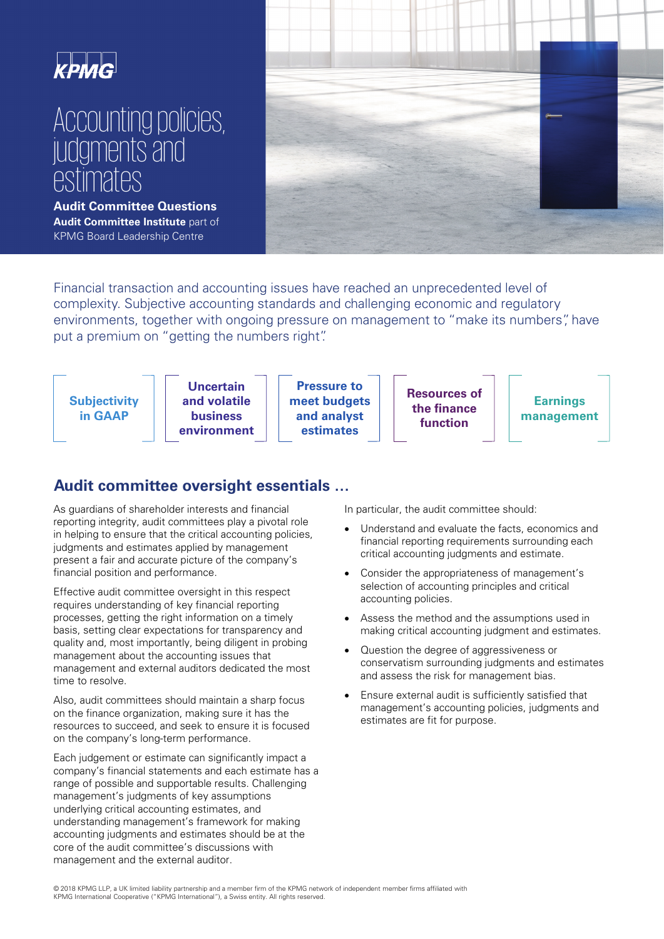

# Accounting policies, judgments and estimates

**Audit Committee Questions Audit Committee Institute** part of KPMG Board Leadership Centre



Financial transaction and accounting issues have reached an unprecedented level of complexity. Subjective accounting standards and challenging economic and regulatory environments, together with ongoing pressure on management to "make its numbers", have put a premium on "getting the numbers right".



## **Audit committee oversight essentials …**

As guardians of shareholder interests and financial reporting integrity, audit committees play a pivotal role in helping to ensure that the critical accounting policies, judgments and estimates applied by management present a fair and accurate picture of the company's financial position and performance.

Effective audit committee oversight in this respect requires understanding of key financial reporting processes, getting the right information on a timely basis, setting clear expectations for transparency and quality and, most importantly, being diligent in probing management about the accounting issues that management and external auditors dedicated the most time to resolve.

Also, audit committees should maintain a sharp focus on the finance organization, making sure it has the resources to succeed, and seek to ensure it is focused on the company's long-term performance.

Each judgement or estimate can significantly impact a company's financial statements and each estimate has a range of possible and supportable results. Challenging management's judgments of key assumptions underlying critical accounting estimates, and understanding management's framework for making accounting judgments and estimates should be at the core of the audit committee's discussions with management and the external auditor.

In particular, the audit committee should:

- Understand and evaluate the facts, economics and financial reporting requirements surrounding each critical accounting judgments and estimate.
- Consider the appropriateness of management's selection of accounting principles and critical accounting policies.
- Assess the method and the assumptions used in making critical accounting judgment and estimates.
- Question the degree of aggressiveness or conservatism surrounding judgments and estimates and assess the risk for management bias.
- Ensure external audit is sufficiently satisfied that management's accounting policies, judgments and estimates are fit for purpose.

 © 2018 KPMG LLP, a UK limited liability partnership and a member firm of the KPMG network of independent member firms affiliated with KPMG International Cooperative ("KPMG International"), a Swiss entity. All rights reserved.